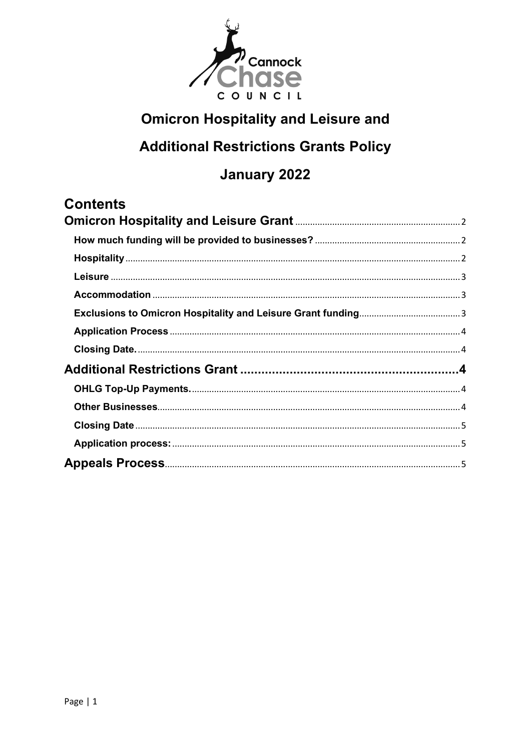

# **Omicron Hospitality and Leisure and**

# **Additional Restrictions Grants Policy**

# January 2022

## **Contents**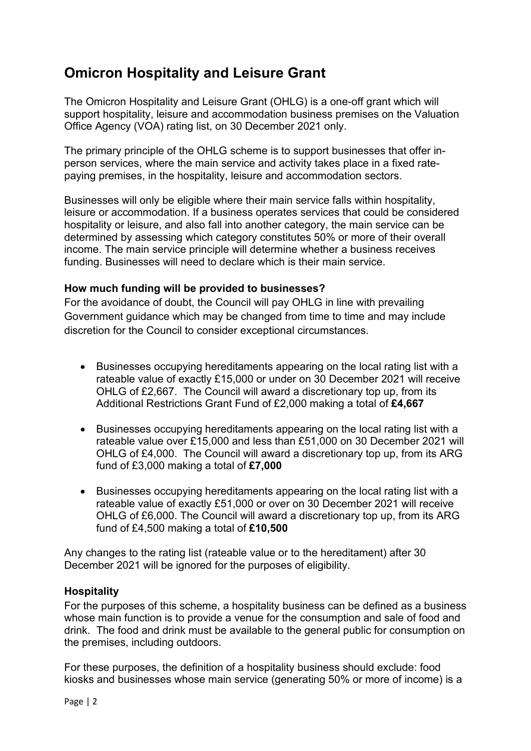## <span id="page-1-0"></span>**Omicron Hospitality and Leisure Grant**

 The Omicron Hospitality and Leisure Grant (OHLG) is a one-off grant which will support hospitality, leisure and accommodation business premises on the Valuation Office Agency (VOA) rating list, on 30 December 2021 only.

The primary principle of the OHLG scheme is to support businesses that offer inperson services, where the main service and activity takes place in a fixed ratepaying premises, in the hospitality, leisure and accommodation sectors.

 determined by assessing which category constitutes 50% or more of their overall Businesses will only be eligible where their main service falls within hospitality, leisure or accommodation. If a business operates services that could be considered hospitality or leisure, and also fall into another category, the main service can be income. The main service principle will determine whether a business receives funding. Businesses will need to declare which is their main service.

## <span id="page-1-1"></span>**How much funding will be provided to businesses?**

For the avoidance of doubt, the Council will pay OHLG in line with prevailing Government guidance which may be changed from time to time and may include discretion for the Council to consider exceptional circumstances.

- OHLG of £2,667. The Council will award a discretionary top up, from its • Businesses occupying hereditaments appearing on the local rating list with a rateable value of exactly £15,000 or under on 30 December 2021 will receive Additional Restrictions Grant Fund of £2,000 making a total of **£4,667**
- OHLG of £4,000. The Council will award a discretionary top up, from its ARG • Businesses occupying hereditaments appearing on the local rating list with a rateable value over £15,000 and less than £51,000 on 30 December 2021 will fund of £3,000 making a total of **£7,000**
- OHLG of £6,000. The Council will award a discretionary top up, from its ARG fund of £4,500 making a total of **£10,500**  • Businesses occupying hereditaments appearing on the local rating list with a rateable value of exactly £51,000 or over on 30 December 2021 will receive

 December 2021 will be ignored for the purposes of eligibility. Any changes to the rating list (rateable value or to the hereditament) after 30

## <span id="page-1-2"></span>**Hospitality**

 drink. The food and drink must be available to the general public for consumption on For the purposes of this scheme, a hospitality business can be defined as a business whose main function is to provide a venue for the consumption and sale of food and the premises, including outdoors.

For these purposes, the definition of a hospitality business should exclude: food kiosks and businesses whose main service (generating 50% or more of income) is a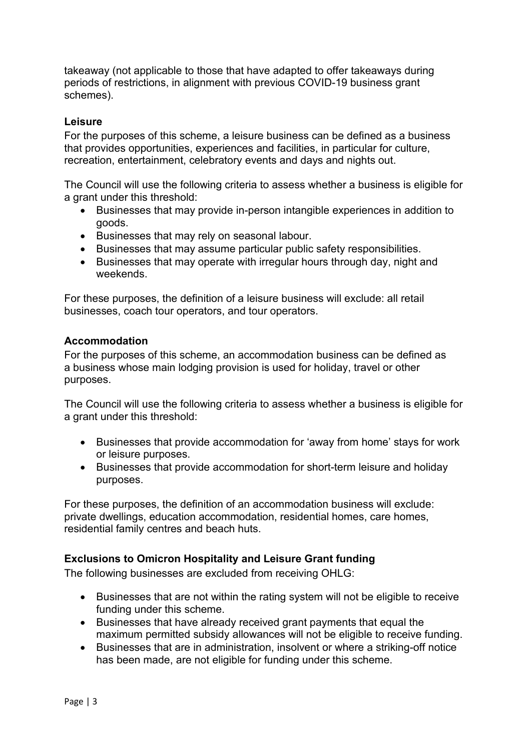takeaway (not applicable to those that have adapted to offer takeaways during periods of restrictions, in alignment with previous COVID-19 business grant schemes).

#### <span id="page-2-0"></span>**Leisure**

For the purposes of this scheme, a leisure business can be defined as a business that provides opportunities, experiences and facilities, in particular for culture, recreation, entertainment, celebratory events and days and nights out.

The Council will use the following criteria to assess whether a business is eligible for a grant under this threshold:

- Businesses that may provide in-person intangible experiences in addition to goods.
- Businesses that may rely on seasonal labour.
- Businesses that may assume particular public safety responsibilities.
- • Businesses that may operate with irregular hours through day, night and weekends.

 businesses, coach tour operators, and tour operators. For these purposes, the definition of a leisure business will exclude: all retail

#### <span id="page-2-1"></span>**Accommodation**

purposes. For the purposes of this scheme, an accommodation business can be defined as a business whose main lodging provision is used for holiday, travel or other

The Council will use the following criteria to assess whether a business is eligible for a grant under this threshold:

- Businesses that provide accommodation for 'away from home' stays for work or leisure purposes.
- Businesses that provide accommodation for short-term leisure and holiday purposes.

For these purposes, the definition of an accommodation business will exclude: private dwellings, education accommodation, residential homes, care homes, residential family centres and beach huts.

#### <span id="page-2-2"></span>**Exclusions to Omicron Hospitality and Leisure Grant funding**

The following businesses are excluded from receiving OHLG:

- Businesses that are not within the rating system will not be eligible to receive funding under this scheme.
- • Businesses that have already received grant payments that equal the maximum permitted subsidy allowances will not be eligible to receive funding.
- Businesses that are in administration, insolvent or where a striking-off notice has been made, are not eligible for funding under this scheme.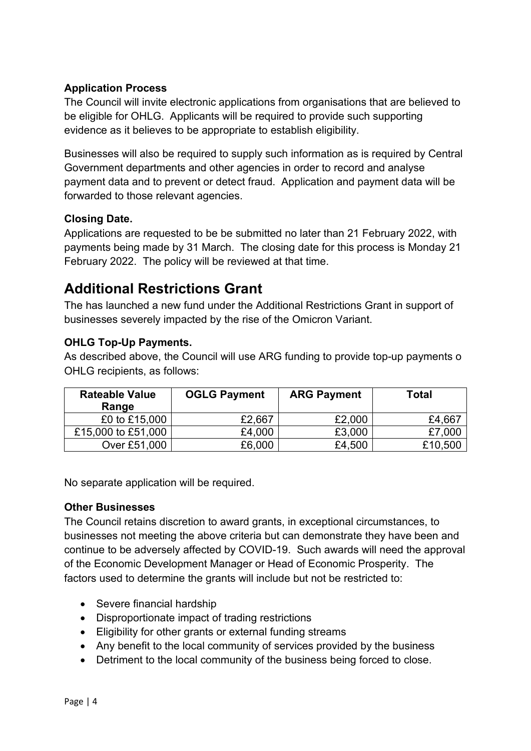## <span id="page-3-0"></span>**Application Process**

 The Council will invite electronic applications from organisations that are believed to be eligible for OHLG. Applicants will be required to provide such supporting evidence as it believes to be appropriate to establish eligibility.

 payment data and to prevent or detect fraud. Application and payment data will be Businesses will also be required to supply such information as is required by Central Government departments and other agencies in order to record and analyse forwarded to those relevant agencies.

## <span id="page-3-1"></span>**Closing Date.**

 payments being made by 31 March. The closing date for this process is Monday 21 Applications are requested to be be submitted no later than 21 February 2022, with February 2022. The policy will be reviewed at that time.

## <span id="page-3-2"></span>**Additional Restrictions Grant**

 The has launched a new fund under the Additional Restrictions Grant in support of businesses severely impacted by the rise of the Omicron Variant.

## <span id="page-3-3"></span>**OHLG Top-Up Payments.**

As described above, the Council will use ARG funding to provide top-up payments o OHLG recipients, as follows:

| <b>Rateable Value</b><br>Range | <b>OGLG Payment</b> | <b>ARG Payment</b> | Total   |
|--------------------------------|---------------------|--------------------|---------|
| £0 to £15,000                  | £2,667              | £2,000             | £4,667  |
| £15,000 to £51,000             | £4,000              | £3,000             | £7,000  |
| Over £51,000                   | £6,000              | £4,500             | £10,500 |

No separate application will be required.

## <span id="page-3-4"></span>**Other Businesses**

 factors used to determine the grants will include but not be restricted to: The Council retains discretion to award grants, in exceptional circumstances, to businesses not meeting the above criteria but can demonstrate they have been and continue to be adversely affected by COVID-19. Such awards will need the approval of the Economic Development Manager or Head of Economic Prosperity. The

- Severe financial hardship
- Disproportionate impact of trading restrictions
- Eligibility for other grants or external funding streams
- Any benefit to the local community of services provided by the business
- Detriment to the local community of the business being forced to close.